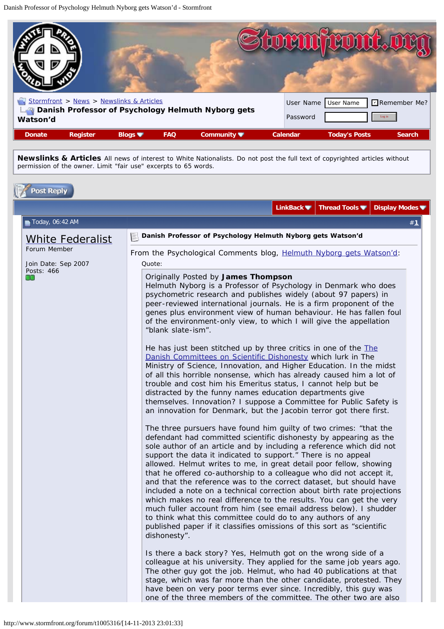<span id="page-0-0"></span>

| <b>REAL</b><br>Watson'd<br><b>Register</b><br><b>Donate</b> | Stormfront > News > Newslinks & Articles<br>Blogs $\blacksquare$ | <b>FAQ</b> | Danish Professor of Psychology Helmuth Nyborg gets<br>Community $\blacksquare$ | User Name<br>Password<br>Calendar | User Name<br><b>Today's Posts</b> | Remember Me?<br>Log in<br><b>Search</b> |
|-------------------------------------------------------------|------------------------------------------------------------------|------------|--------------------------------------------------------------------------------|-----------------------------------|-----------------------------------|-----------------------------------------|

**Newslinks & Articles** All news of interest to White Nationalists. Do not post the full text of copyrighted articles without permission of the owner. Limit "fair use" excerpts to 65 words.

|                                         |                                                                               |                                                                                                                                                                                                                                                                                                                                                                                                                                                                                                                                                                                                                                                                                                                                                                                                                                                                                                                                                                                                                                                                                                                                                                                                                                                                                                                                                                                                                                                                                                                                                                                                                                                                                                                                                                                                                                                                                                                                                                                                                                                       | LinkBack ■ Thread Tools ■ Display Modes ■ |       |
|-----------------------------------------|-------------------------------------------------------------------------------|-------------------------------------------------------------------------------------------------------------------------------------------------------------------------------------------------------------------------------------------------------------------------------------------------------------------------------------------------------------------------------------------------------------------------------------------------------------------------------------------------------------------------------------------------------------------------------------------------------------------------------------------------------------------------------------------------------------------------------------------------------------------------------------------------------------------------------------------------------------------------------------------------------------------------------------------------------------------------------------------------------------------------------------------------------------------------------------------------------------------------------------------------------------------------------------------------------------------------------------------------------------------------------------------------------------------------------------------------------------------------------------------------------------------------------------------------------------------------------------------------------------------------------------------------------------------------------------------------------------------------------------------------------------------------------------------------------------------------------------------------------------------------------------------------------------------------------------------------------------------------------------------------------------------------------------------------------------------------------------------------------------------------------------------------------|-------------------------------------------|-------|
| Today, 06:42 AM                         |                                                                               |                                                                                                                                                                                                                                                                                                                                                                                                                                                                                                                                                                                                                                                                                                                                                                                                                                                                                                                                                                                                                                                                                                                                                                                                                                                                                                                                                                                                                                                                                                                                                                                                                                                                                                                                                                                                                                                                                                                                                                                                                                                       |                                           | # $1$ |
|                                         |                                                                               | Danish Professor of Psychology Helmuth Nyborg gets Watson'd                                                                                                                                                                                                                                                                                                                                                                                                                                                                                                                                                                                                                                                                                                                                                                                                                                                                                                                                                                                                                                                                                                                                                                                                                                                                                                                                                                                                                                                                                                                                                                                                                                                                                                                                                                                                                                                                                                                                                                                           |                                           |       |
| <b>White Federalist</b><br>Forum Member |                                                                               |                                                                                                                                                                                                                                                                                                                                                                                                                                                                                                                                                                                                                                                                                                                                                                                                                                                                                                                                                                                                                                                                                                                                                                                                                                                                                                                                                                                                                                                                                                                                                                                                                                                                                                                                                                                                                                                                                                                                                                                                                                                       |                                           |       |
| Join Date: Sep 2007                     | From the Psychological Comments blog, Helmuth Nyborg gets Watson'd:<br>Quote: |                                                                                                                                                                                                                                                                                                                                                                                                                                                                                                                                                                                                                                                                                                                                                                                                                                                                                                                                                                                                                                                                                                                                                                                                                                                                                                                                                                                                                                                                                                                                                                                                                                                                                                                                                                                                                                                                                                                                                                                                                                                       |                                           |       |
| Posts: 466<br>66                        | "blank slate-ism".<br>dishonesty".                                            | Originally Posted by James Thompson<br>Helmuth Nyborg is a Professor of Psychology in Denmark who does<br>psychometric research and publishes widely (about 97 papers) in<br>peer-reviewed international journals. He is a firm proponent of the<br>genes plus environment view of human behaviour. He has fallen foul<br>of the environment-only view, to which I will give the appellation<br>He has just been stitched up by three critics in one of the <i>The</i><br>Danish Committees on Scientific Dishonesty which lurk in The<br>Ministry of Science, Innovation, and Higher Education. In the midst<br>of all this horrible nonsense, which has already caused him a lot of<br>trouble and cost him his Emeritus status, I cannot help but be<br>distracted by the funny names education departments give<br>themselves. Innovation? I suppose a Committee for Public Safety is<br>an innovation for Denmark, but the Jacobin terror got there first.<br>The three pursuers have found him guilty of two crimes: "that the<br>defendant had committed scientific dishonesty by appearing as the<br>sole author of an article and by including a reference which did not<br>support the data it indicated to support." There is no appeal<br>allowed. Helmut writes to me, in great detail poor fellow, showing<br>that he offered co-authorship to a colleague who did not accept it,<br>and that the reference was to the correct dataset, but should have<br>included a note on a technical correction about birth rate projections<br>which makes no real difference to the results. You can get the very<br>much fuller account from him (see email address below). I shudder<br>to think what this committee could do to any authors of any<br>published paper if it classifies omissions of this sort as "scientific<br>Is there a back story? Yes, Helmuth got on the wrong side of a<br>colleague at his university. They applied for the same job years ago.<br>The other guy got the job. Helmut, who had 40 publications at that |                                           |       |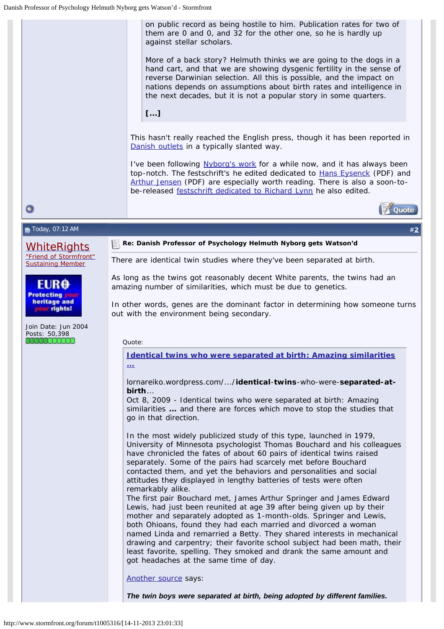<span id="page-1-0"></span>*on public record as being hostile to him. Publication rates for two of them are 0 and 0, and 32 for the other one, so he is hardly up against stellar scholars.* 

*More of a back story? Helmuth thinks we are going to the dogs in a hand cart, and that we are showing dysgenic fertility in the sense of reverse Darwinian selection. All this is possible, and the impact on nations depends on assumptions about birth rates and intelligence in the next decades, but it is not a popular story in some quarters.* 

*[...]*

This hasn't really reached the English press, though it has been reported in [Danish outlets](http://translate.google.com/translate?hl=en&sl=auto&tl=en&u=http%3A%2F%2Fpolitiken.dk%2Fvidenskab%2FECE2119039%2Fhelmuth-nyborg-doemt-som-forskningsfusker%2F) in a typically slanted way.

I've been following [Nyborg's work](http://www.helmuthnyborg.dk/) for a while now, and it has always been top-notch. The festschrift's he edited dedicated to **Hans Eysenck** (PDF) and [Arthur Jensen](http://emilkirkegaard.dk/en/wp-content/uploads/Helmuth_Nyborg_The_Scientific_Study_of_General_IBookos.org_.pdf) (PDF) are especially worth reading. There is also a soon-tobe-released [festschrift dedicated to Richard Lynn](http://www.ulsterinstitute.org/) he also edited.



Today, 07:12 AM #**[2](#page-2-0)**

 $\bullet$ 

*[WhiteRights](http://www.stormfront.org/forum/member.php?u=44704)* ["Friend of Stormfront"](http://www.stormfront.org/forum/t204019/#post1852112) [Sustaining Member](http://www.stormfront.org/forum/t204019/#post1852112)

EUR<del>O</del> **Protecting** heritage and ur rights!

Join Date: Jun 2004 Posts: 50,398 **. . . . . . . . . . . .** 

**Re: Danish Professor of Psychology Helmuth Nyborg gets Watson'd**

There are identical twin studies where they've been separated at birth.

As long as the twins got reasonably decent White parents, the twins had an amazing number of similarities, which must be due to genetics.

In other words, genes are the dominant factor in determining how someone turns out with the environment being secondary.

Quote:

*[Identical twins](http://www.google.com/url?sa=t&rct=j&q=&esrc=s&source=web&cd=3&cad=rja&sqi=2&ved=0CEkQFjAC&url=http%3A%2F%2Flornareiko.wordpress.com%2F2009%2F10%2F08%2Fidentical-twins-who-were-separated-at-birth-what-are-they-like%2F&ei=SK-EUsjzM4KBiALUqYHwAQ&usg=AFQjCNG4k2XQc6JSOGtkQJMpfDjYGH30-Q&sig2=aRuOFS4i_5XXm5E_Byr_Rg&bvm=bv.56343320,d.cGE)* **[who were](http://www.google.com/url?sa=t&rct=j&q=&esrc=s&source=web&cd=3&cad=rja&sqi=2&ved=0CEkQFjAC&url=http%3A%2F%2Flornareiko.wordpress.com%2F2009%2F10%2F08%2Fidentical-twins-who-were-separated-at-birth-what-are-they-like%2F&ei=SK-EUsjzM4KBiALUqYHwAQ&usg=AFQjCNG4k2XQc6JSOGtkQJMpfDjYGH30-Q&sig2=aRuOFS4i_5XXm5E_Byr_Rg&bvm=bv.56343320,d.cGE)** *[separated at birth](http://www.google.com/url?sa=t&rct=j&q=&esrc=s&source=web&cd=3&cad=rja&sqi=2&ved=0CEkQFjAC&url=http%3A%2F%2Flornareiko.wordpress.com%2F2009%2F10%2F08%2Fidentical-twins-who-were-separated-at-birth-what-are-they-like%2F&ei=SK-EUsjzM4KBiALUqYHwAQ&usg=AFQjCNG4k2XQc6JSOGtkQJMpfDjYGH30-Q&sig2=aRuOFS4i_5XXm5E_Byr_Rg&bvm=bv.56343320,d.cGE)***[: Amazing similarities](http://www.google.com/url?sa=t&rct=j&q=&esrc=s&source=web&cd=3&cad=rja&sqi=2&ved=0CEkQFjAC&url=http%3A%2F%2Flornareiko.wordpress.com%2F2009%2F10%2F08%2Fidentical-twins-who-were-separated-at-birth-what-are-they-like%2F&ei=SK-EUsjzM4KBiALUqYHwAQ&usg=AFQjCNG4k2XQc6JSOGtkQJMpfDjYGH30-Q&sig2=aRuOFS4i_5XXm5E_Byr_Rg&bvm=bv.56343320,d.cGE) [...](http://www.google.com/url?sa=t&rct=j&q=&esrc=s&source=web&cd=3&cad=rja&sqi=2&ved=0CEkQFjAC&url=http%3A%2F%2Flornareiko.wordpress.com%2F2009%2F10%2F08%2Fidentical-twins-who-were-separated-at-birth-what-are-they-like%2F&ei=SK-EUsjzM4KBiALUqYHwAQ&usg=AFQjCNG4k2XQc6JSOGtkQJMpfDjYGH30-Q&sig2=aRuOFS4i_5XXm5E_Byr_Rg&bvm=bv.56343320,d.cGE)**

lornareiko.wordpress.com/.../**identical**-**twins**-who-were-**separated-atbirth**...

Oct 8, 2009 - *Identical twins* who were *separated at birth*: Amazing similarities **...** and there are forces which move to stop the *studies* that go in that direction.

*In the most widely publicized study of this type, launched in 1979, University of Minnesota psychologist Thomas Bouchard and his colleagues have chronicled the fates of about 60 pairs of identical twins raised separately. Some of the pairs had scarcely met before Bouchard contacted them, and yet the behaviors and personalities and social attitudes they displayed in lengthy batteries of tests were often remarkably alike.*

*The first pair Bouchard met, James Arthur Springer and James Edward Lewis, had just been reunited at age 39 after being given up by their mother and separately adopted as 1-month-olds. Springer and Lewis, both Ohioans, found they had each married and divorced a woman named Linda and remarried a Betty. They shared interests in mechanical drawing and carpentry; their favorite school subject had been math, their least favorite, spelling. They smoked and drank the same amount and got headaches at the same time of day.*

*[Another source](http://somethinamazing.blogspot.com/2009/04/10-most-fascinating-twin-stories-you.html) says:*

*The twin boys were separated at birth, being adopted by different families.*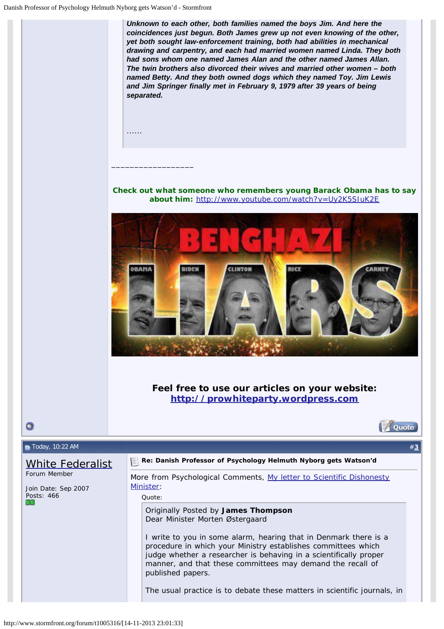<span id="page-2-0"></span>*Unknown to each other, both families named the boys Jim. And here the coincidences just begun. Both James grew up not even knowing of the other, yet both sought law-enforcement training, both had abilities in mechanical drawing and carpentry, and each had married women named Linda. They both had sons whom one named James Alan and the other named James Allan. The twin brothers also divorced their wives and married other women – both named Betty. And they both owned dogs which they named Toy. Jim Lewis and Jim Springer finally met in February 9, 1979 after 39 years of being separated.* 

......

\_\_\_\_\_\_\_\_\_\_\_\_\_\_\_\_\_\_

**Check out what someone who remembers young Barack Obama has to say about him:** <http://www.youtube.com/watch?v=Uy2K5SIuK2E>



**Feel free to use our articles on your website: [http://prowhiteparty.wordpress.com](http://prowhiteparty.wordpress.com/)**



## $\blacksquare$  Today, 10:22 AM  $\qquad$   $\qquad$   $\qquad$   $\qquad$   $\qquad$   $\qquad$   $\qquad$   $\qquad$   $\qquad$   $\qquad$   $\qquad$   $\qquad$   $\qquad$   $\qquad$   $\qquad$   $\qquad$   $\qquad$   $\qquad$   $\qquad$   $\qquad$   $\qquad$   $\qquad$   $\qquad$   $\qquad$   $\qquad$   $\qquad$   $\qquad$   $\qquad$   $\qquad$   $\qquad$   $\qquad$   $\qquad$   $\qquad$

 $\bullet$ 

## [White Federalist](http://www.stormfront.org/forum/member.php?u=131233) Forum Member

Join Date: Sep 2007 Posts: 466

## **Re: Danish Professor of Psychology Helmuth Nyborg gets Watson'd**

More from Psychological Comments, [My letter to Scientific Dishonesty](http://drjamesthompson.blogspot.com/2013/11/my-letter-to-scientific-dishonesty.html) [Minister:](http://drjamesthompson.blogspot.com/2013/11/my-letter-to-scientific-dishonesty.html)

Quote:

Originally Posted by **James Thompson** *Dear Minister Morten Østergaard*

*I write to you in some alarm, hearing that in Denmark there is a procedure in which your Ministry establishes committees which judge whether a researcher is behaving in a scientifically proper manner, and that these committees may demand the recall of published papers.* 

*The usual practice is to debate these matters in scientific journals, in*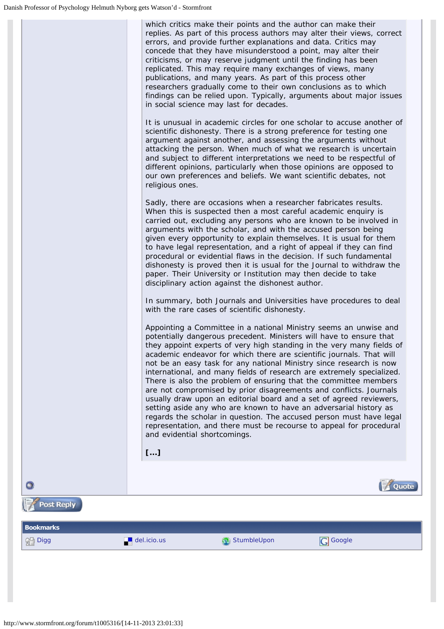<span id="page-3-0"></span>

| which critics make their points and the author can make their           |
|-------------------------------------------------------------------------|
| replies. As part of this process authors may alter their views, correct |
| errors, and provide further explanations and data. Critics may          |
| concede that they have misunderstood a point, may alter their           |
| criticisms, or may reserve judgment until the finding has been          |
| replicated. This may require many exchanges of views, many              |
| publications, and many years. As part of this process other             |
| researchers gradually come to their own conclusions as to which         |
| findings can be relied upon. Typically, arguments about major issues    |
| in social science may last for decades.                                 |
|                                                                         |

*It is unusual in academic circles for one scholar to accuse another of scientific dishonesty. There is a strong preference for testing one argument against another, and assessing the arguments without attacking the person. When much of what we research is uncertain and subject to different interpretations we need to be respectful of different opinions, particularly when those opinions are opposed to our own preferences and beliefs. We want scientific debates, not religious ones.* 

*Sadly, there are occasions when a researcher fabricates results. When this is suspected then a most careful academic enquiry is carried out, excluding any persons who are known to be involved in arguments with the scholar, and with the accused person being given every opportunity to explain themselves. It is usual for them to have legal representation, and a right of appeal if they can find procedural or evidential flaws in the decision. If such fundamental dishonesty is proved then it is usual for the Journal to withdraw the paper. Their University or Institution may then decide to take disciplinary action against the dishonest author.* 

*In summary, both Journals and Universities have procedures to deal with the rare cases of scientific dishonesty.* 

*Appointing a Committee in a national Ministry seems an unwise and potentially dangerous precedent. Ministers will have to ensure that they appoint experts of very high standing in the very many fields of academic endeavor for which there are scientific journals. That will not be an easy task for any national Ministry since research is now international, and many fields of research are extremely specialized. There is also the problem of ensuring that the committee members are not compromised by prior disagreements and conflicts. Journals usually draw upon an editorial board and a set of agreed reviewers, setting aside any who are known to have an adversarial history as regards the scholar in question. The accused person must have legal representation, and there must be recourse to appeal for procedural and evidential shortcomings.* 

*[...]*

l, **Quote Post Reply BookmarksORD** [Digg](http://digg.com/submit?phrase=2&url=http%3A%2F%2Fwww.stormfront.org%2Fforum%2Ft1005316%2F&title=Danish+Professor+of+Psychology+Helmuth+Nyborg+gets+Watson%92d) [del.icio.us](http://del.icio.us/post?url=http%3A%2F%2Fwww.stormfront.org%2Fforum%2Ft1005316%2F&title=Danish+Professor+of+Psychology+Helmuth+Nyborg+gets+Watson%92d) [StumbleUpon](http://www.stumbleupon.com/submit?url=http%3A%2F%2Fwww.stormfront.org%2Fforum%2Ft1005316%2F&title=Danish+Professor+of+Psychology+Helmuth+Nyborg+gets+Watson%92d) [Google](http://www.google.com/bookmarks/mark?op=edit&output=popup&bkmk=http%3A%2F%2Fwww.stormfront.org%2Fforum%2Ft1005316%2F&title=Danish+Professor+of+Psychology+Helmuth+Nyborg+gets+Watson%92d)